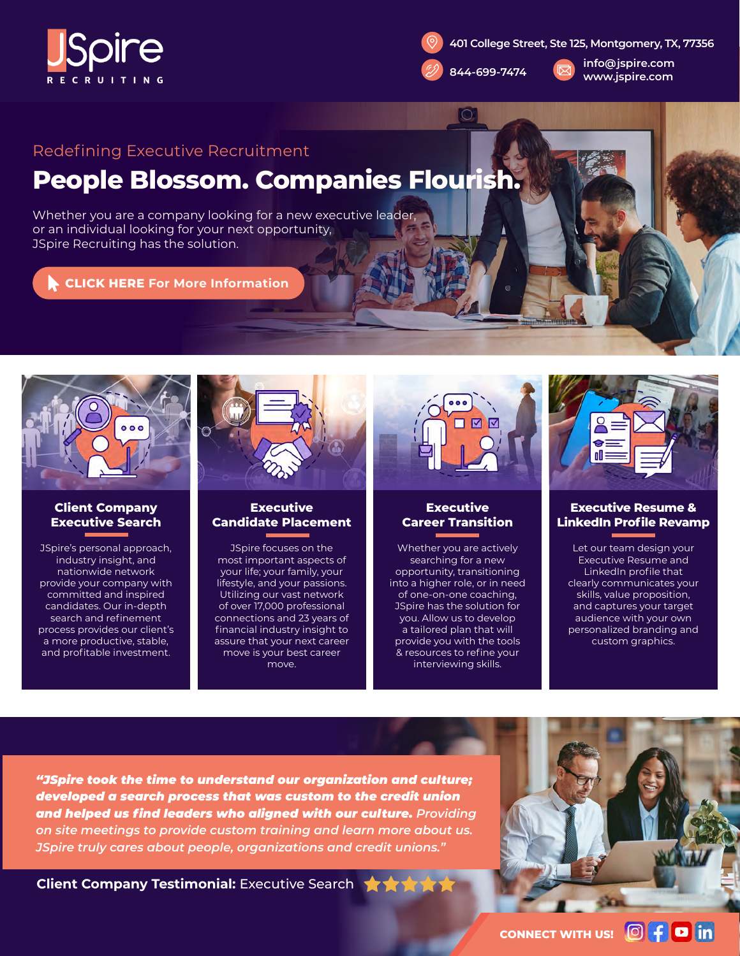



 $\bigcirc$ 

**[info@jspire.com](mailto:info%40jspire.com?subject=Digital%20Flyer%20-%20Contact%20Form) 844-699-7474 www.jspire.com**

## Redefining Executive Recruitment

# **People Blossom. Companies Flourish.**

Whether you are a company looking for a new executive leader, or an individual looking for your next opportunity, JSpire Recruiting has the solution.

**CLICK HERE [For More Information](https://jspire.com/#Services)**



### **Client Company Executive Search**

JSpire's personal approach, industry insight, and nationwide network provide your company with committed and inspired candidates. Our in-depth search and refinement [process provides our client's](https://jspire.com/#Services)  a more productive, stable, and profitable investment.



### **Executive [Candidate Placement](https://jspire.com/#Services)**

JSpire focuses on the most important aspects of your life; your family, your lifestyle, and your passions. Utilizing our vast network of over 17,000 professional connections and 23 years of financial industry insight to assure that your next career move is your best career move.



### **Executive [Career Transition](https://jspire.com/#Services)**

Whether you are actively searching for a new opportunity, transitioning into a higher role, or in need of one-on-one coaching, JSpire has the solution for you. Allow us to develop a tailored plan that will provide you with the tools & resources to refine your interviewing skills.



### **Executive Resume & [LinkedIn Profile Revamp](https://jspire.com/#Services)**

Let our team design your Executive Resume and LinkedIn profile that clearly communicates your skills, value proposition, and captures your target audience with your own personalized branding and custom graphics.

*"JSpire took the time to understand our organization and culture; developed a search process that was custom to the credit union and helped us find leaders who aligned with our culture. Providing on site meetings to provide custom training and learn more about us. JSpire truly cares about people, organizations and credit unions."*

**Client Company Testimonial:** Executive Search